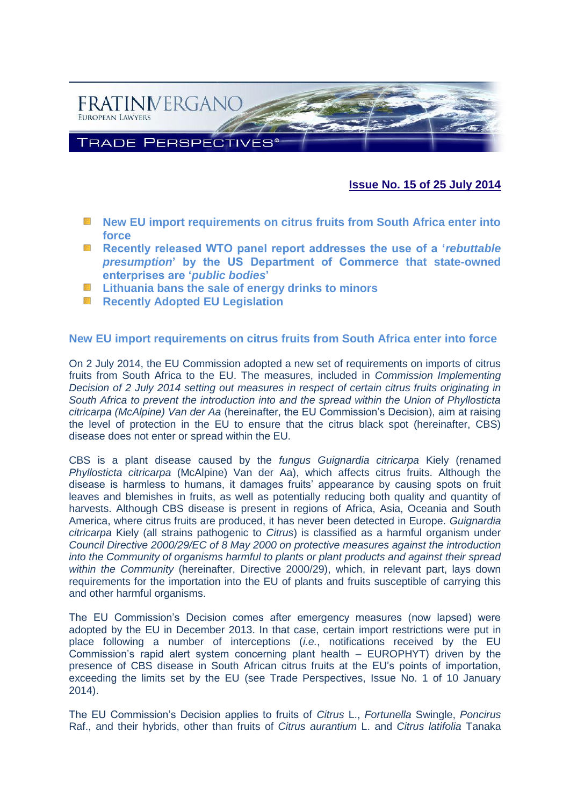

# **Issue No. 15 of 25 July 2014**

- **New EU import requirements on citrus fruits from South Africa enter into [force](#page-0-0)**
- **[Recently released WTO panel report addresses the use of a '](#page-2-0)***rebuttable presumption***[' by the US Department of Commerce that state-owned](#page-2-0)  [enterprises are '](#page-2-0)***public bodies***'**
- **[Lithuania bans the sale of energy drinks to minors](#page-4-0)**
- **[Recently Adopted EU Legislation](#page-6-0)**

### <span id="page-0-0"></span>**New EU import requirements on citrus fruits from South Africa enter into force**

On 2 July 2014, the EU Commission adopted a new set of requirements on imports of citrus fruits from South Africa to the EU. The measures, included in *Commission Implementing Decision of 2 July 2014 setting out measures in respect of certain citrus fruits originating in South Africa to prevent the introduction into and the spread within the Union of Phyllosticta citricarpa (McAlpine) Van der Aa* (hereinafter, the EU Commission's Decision), aim at raising the level of protection in the EU to ensure that the citrus black spot (hereinafter, CBS) disease does not enter or spread within the EU.

CBS is a plant disease caused by the *fungus Guignardia citricarpa* Kiely (renamed *Phyllosticta citricarpa* (McAlpine) Van der Aa), which affects citrus fruits. Although the disease is harmless to humans, it damages fruits' appearance by causing spots on fruit leaves and blemishes in fruits, as well as potentially reducing both quality and quantity of harvests. Although CBS disease is present in regions of Africa, Asia, Oceania and South America, where citrus fruits are produced, it has never been detected in Europe. *Guignardia citricarpa* Kiely (all strains pathogenic to *Citrus*) is classified as a harmful organism under *Council Directive 2000/29/EC of 8 May 2000 on protective measures against the introduction into the Community of organisms harmful to plants or plant products and against their spread within the Community* (hereinafter, Directive 2000/29), which, in relevant part, lays down requirements for the importation into the EU of plants and fruits susceptible of carrying this and other harmful organisms.

The EU Commission's Decision comes after emergency measures (now lapsed) were adopted by the EU in December 2013. In that case, certain import restrictions were put in place following a number of interceptions (*i.e.*, notifications received by the EU Commission's rapid alert system concerning plant health – EUROPHYT) driven by the presence of CBS disease in South African citrus fruits at the EU's points of importation, exceeding the limits set by the EU (see Trade Perspectives, Issue No. 1 of 10 January 2014).

The EU Commission's Decision applies to fruits of *Citrus* L., *Fortunella* Swingle, *Poncirus* Raf., and their hybrids, other than fruits of *Citrus aurantium* L. and *Citrus latifolia* Tanaka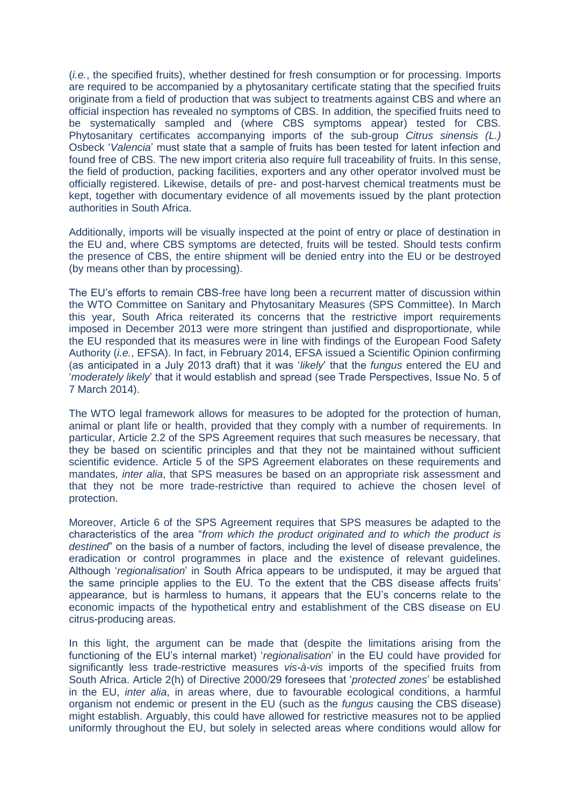(*i.e.*, the specified fruits), whether destined for fresh consumption or for processing. Imports are required to be accompanied by a phytosanitary certificate stating that the specified fruits originate from a field of production that was subject to treatments against CBS and where an official inspection has revealed no symptoms of CBS. In addition, the specified fruits need to be systematically sampled and (where CBS symptoms appear) tested for CBS. Phytosanitary certificates accompanying imports of the sub-group *Citrus sinensis (L.)*  Osbeck '*Valencia*' must state that a sample of fruits has been tested for latent infection and found free of CBS. The new import criteria also require full traceability of fruits. In this sense, the field of production, packing facilities, exporters and any other operator involved must be officially registered. Likewise, details of pre- and post-harvest chemical treatments must be kept, together with documentary evidence of all movements issued by the plant protection authorities in South Africa.

Additionally, imports will be visually inspected at the point of entry or place of destination in the EU and, where CBS symptoms are detected, fruits will be tested. Should tests confirm the presence of CBS, the entire shipment will be denied entry into the EU or be destroyed (by means other than by processing).

The EU's efforts to remain CBS-free have long been a recurrent matter of discussion within the WTO Committee on Sanitary and Phytosanitary Measures (SPS Committee). In March this year, South Africa reiterated its concerns that the restrictive import requirements imposed in December 2013 were more stringent than justified and disproportionate, while the EU responded that its measures were in line with findings of the European Food Safety Authority (*i.e.*, EFSA). In fact, in February 2014, EFSA issued a Scientific Opinion confirming (as anticipated in a July 2013 draft) that it was '*likely*' that the *fungus* entered the EU and '*moderately likely*' that it would establish and spread (see Trade Perspectives, Issue No. 5 of 7 March 2014).

The WTO legal framework allows for measures to be adopted for the protection of human, animal or plant life or health, provided that they comply with a number of requirements. In particular, Article 2.2 of the SPS Agreement requires that such measures be necessary, that they be based on scientific principles and that they not be maintained without sufficient scientific evidence. Article 5 of the SPS Agreement elaborates on these requirements and mandates, *inter alia*, that SPS measures be based on an appropriate risk assessment and that they not be more trade-restrictive than required to achieve the chosen level of protection.

Moreover, Article 6 of the SPS Agreement requires that SPS measures be adapted to the characteristics of the area "*from which the product originated and to which the product is destined*" on the basis of a number of factors, including the level of disease prevalence, the eradication or control programmes in place and the existence of relevant guidelines. Although '*regionalisation*' in South Africa appears to be undisputed, it may be argued that the same principle applies to the EU. To the extent that the CBS disease affects fruits' appearance, but is harmless to humans, it appears that the EU's concerns relate to the economic impacts of the hypothetical entry and establishment of the CBS disease on EU citrus-producing areas.

In this light, the argument can be made that (despite the limitations arising from the functioning of the EU's internal market) '*regionalisation*' in the EU could have provided for significantly less trade-restrictive measures *vis-à-vis* imports of the specified fruits from South Africa. Article 2(h) of Directive 2000/29 foresees that '*protected zones*' be established in the EU, *inter alia*, in areas where, due to favourable ecological conditions, a harmful organism not endemic or present in the EU (such as the *fungus* causing the CBS disease) might establish. Arguably, this could have allowed for restrictive measures not to be applied uniformly throughout the EU, but solely in selected areas where conditions would allow for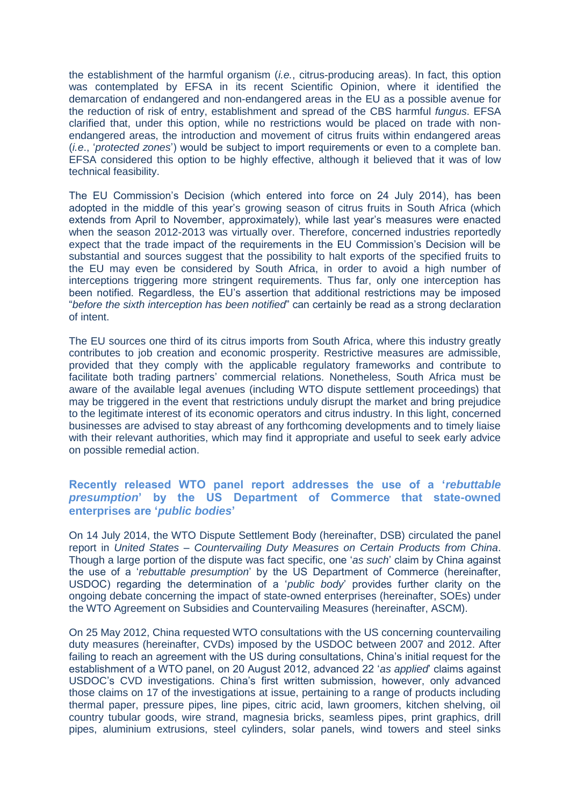the establishment of the harmful organism (*i.e.*, citrus-producing areas). In fact, this option was contemplated by EFSA in its recent Scientific Opinion, where it identified the demarcation of endangered and non-endangered areas in the EU as a possible avenue for the reduction of risk of entry, establishment and spread of the CBS harmful *fungus*. EFSA clarified that, under this option, while no restrictions would be placed on trade with nonendangered areas, the introduction and movement of citrus fruits within endangered areas (*i.e*., '*protected zones*') would be subject to import requirements or even to a complete ban. EFSA considered this option to be highly effective, although it believed that it was of low technical feasibility.

The EU Commission's Decision (which entered into force on 24 July 2014), has been adopted in the middle of this year's growing season of citrus fruits in South Africa (which extends from April to November, approximately), while last year's measures were enacted when the season 2012-2013 was virtually over. Therefore, concerned industries reportedly expect that the trade impact of the requirements in the EU Commission's Decision will be substantial and sources suggest that the possibility to halt exports of the specified fruits to the EU may even be considered by South Africa, in order to avoid a high number of interceptions triggering more stringent requirements. Thus far, only one interception has been notified. Regardless, the EU's assertion that additional restrictions may be imposed "*before the sixth interception has been notified*" can certainly be read as a strong declaration of intent.

The EU sources one third of its citrus imports from South Africa, where this industry greatly contributes to job creation and economic prosperity. Restrictive measures are admissible, provided that they comply with the applicable regulatory frameworks and contribute to facilitate both trading partners' commercial relations. Nonetheless, South Africa must be aware of the available legal avenues (including WTO dispute settlement proceedings) that may be triggered in the event that restrictions unduly disrupt the market and bring prejudice to the legitimate interest of its economic operators and citrus industry. In this light, concerned businesses are advised to stay abreast of any forthcoming developments and to timely liaise with their relevant authorities, which may find it appropriate and useful to seek early advice on possible remedial action.

## <span id="page-2-0"></span>**Recently released WTO panel report addresses the use of a '***rebuttable presumption***' by the US Department of Commerce that state-owned enterprises are '***public bodies***'**

On 14 July 2014, the WTO Dispute Settlement Body (hereinafter, DSB) circulated the panel report in *United States – Countervailing Duty Measures on Certain Products from China*. Though a large portion of the dispute was fact specific, one '*as such*' claim by China against the use of a '*rebuttable presumption*' by the US Department of Commerce (hereinafter, USDOC) regarding the determination of a '*public body*' provides further clarity on the ongoing debate concerning the impact of state-owned enterprises (hereinafter, SOEs) under the WTO Agreement on Subsidies and Countervailing Measures (hereinafter, ASCM).

On 25 May 2012, China requested WTO consultations with the US concerning countervailing duty measures (hereinafter, CVDs) imposed by the USDOC between 2007 and 2012. After failing to reach an agreement with the US during consultations, China's initial request for the establishment of a WTO panel, on 20 August 2012, advanced 22 '*as applied*' claims against USDOC's CVD investigations. China's first written submission, however, only advanced those claims on 17 of the investigations at issue, pertaining to a range of products including thermal paper, pressure pipes, line pipes, citric acid, lawn groomers, kitchen shelving, oil country tubular goods, wire strand, magnesia bricks, seamless pipes, print graphics, drill pipes, aluminium extrusions, steel cylinders, solar panels, wind towers and steel sinks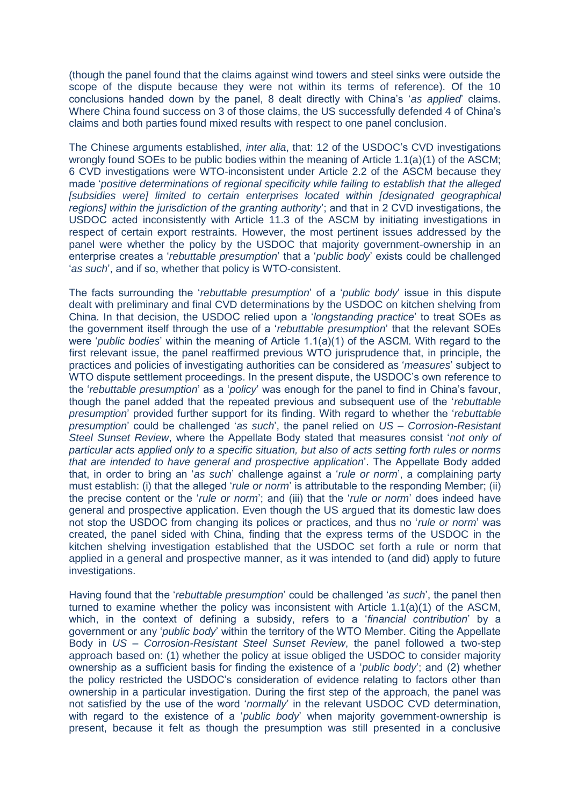(though the panel found that the claims against wind towers and steel sinks were outside the scope of the dispute because they were not within its terms of reference). Of the 10 conclusions handed down by the panel, 8 dealt directly with China's '*as applied*' claims. Where China found success on 3 of those claims, the US successfully defended 4 of China's claims and both parties found mixed results with respect to one panel conclusion.

The Chinese arguments established, *inter alia*, that: 12 of the USDOC's CVD investigations wrongly found SOEs to be public bodies within the meaning of Article 1.1(a)(1) of the ASCM; 6 CVD investigations were WTO-inconsistent under Article 2.2 of the ASCM because they made '*positive determinations of regional specificity while failing to establish that the alleged [subsidies were] limited to certain enterprises located within [designated geographical regions] within the jurisdiction of the granting authority*'; and that in 2 CVD investigations, the USDOC acted inconsistently with Article 11.3 of the ASCM by initiating investigations in respect of certain export restraints. However, the most pertinent issues addressed by the panel were whether the policy by the USDOC that majority government-ownership in an enterprise creates a '*rebuttable presumption*' that a '*public body*' exists could be challenged '*as such*', and if so, whether that policy is WTO-consistent.

The facts surrounding the '*rebuttable presumption*' of a '*public body*' issue in this dispute dealt with preliminary and final CVD determinations by the USDOC on kitchen shelving from China. In that decision, the USDOC relied upon a '*longstanding practice*' to treat SOEs as the government itself through the use of a '*rebuttable presumption*' that the relevant SOEs were '*public bodies*' within the meaning of Article 1.1(a)(1) of the ASCM. With regard to the first relevant issue, the panel reaffirmed previous WTO jurisprudence that, in principle, the practices and policies of investigating authorities can be considered as '*measures*' subject to WTO dispute settlement proceedings. In the present dispute, the USDOC's own reference to the '*rebuttable presumption*' as a '*policy*' was enough for the panel to find in China's favour, though the panel added that the repeated previous and subsequent use of the '*rebuttable presumption*' provided further support for its finding. With regard to whether the '*rebuttable presumption*' could be challenged '*as such*', the panel relied on *US – Corrosion-Resistant Steel Sunset Review*, where the Appellate Body stated that measures consist '*not only of particular acts applied only to a specific situation, but also of acts setting forth rules or norms that are intended to have general and prospective application*'. The Appellate Body added that, in order to bring an '*as such*' challenge against a '*rule or norm*', a complaining party must establish: (i) that the alleged '*rule or norm*' is attributable to the responding Member; (ii) the precise content or the '*rule or norm*'; and (iii) that the '*rule or norm*' does indeed have general and prospective application. Even though the US argued that its domestic law does not stop the USDOC from changing its polices or practices, and thus no '*rule or norm*' was created, the panel sided with China, finding that the express terms of the USDOC in the kitchen shelving investigation established that the USDOC set forth a rule or norm that applied in a general and prospective manner, as it was intended to (and did) apply to future investigations.

Having found that the '*rebuttable presumption*' could be challenged '*as such*', the panel then turned to examine whether the policy was inconsistent with Article 1.1(a)(1) of the ASCM, which, in the context of defining a subsidy, refers to a '*financial contribution*' by a government or any '*public body*' within the territory of the WTO Member. Citing the Appellate Body in *US – Corrosion-Resistant Steel Sunset Review*, the panel followed a two-step approach based on: (1) whether the policy at issue obliged the USDOC to consider majority ownership as a sufficient basis for finding the existence of a '*public body*'; and (2) whether the policy restricted the USDOC's consideration of evidence relating to factors other than ownership in a particular investigation. During the first step of the approach, the panel was not satisfied by the use of the word '*normally*' in the relevant USDOC CVD determination, with regard to the existence of a '*public body*' when majority government-ownership is present, because it felt as though the presumption was still presented in a conclusive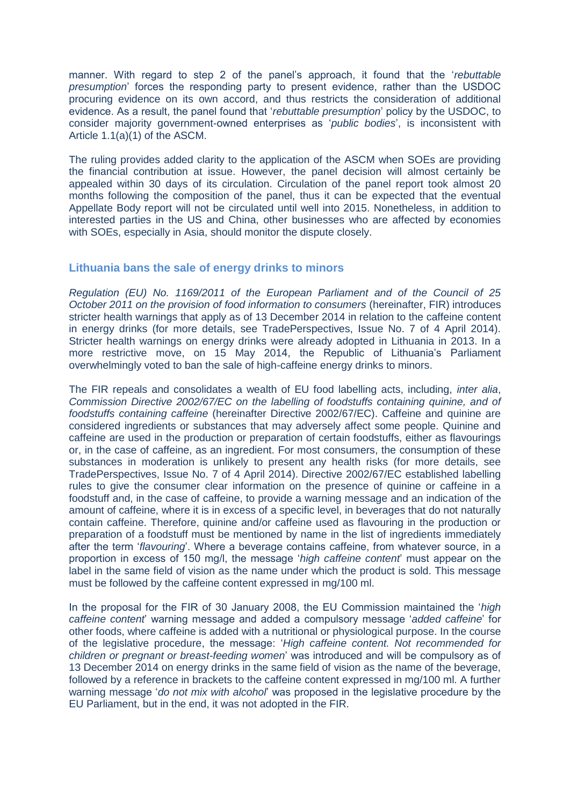manner. With regard to step 2 of the panel's approach, it found that the '*rebuttable presumption*' forces the responding party to present evidence, rather than the USDOC procuring evidence on its own accord, and thus restricts the consideration of additional evidence. As a result, the panel found that '*rebuttable presumption*' policy by the USDOC, to consider majority government-owned enterprises as '*public bodies*', is inconsistent with Article 1.1(a)(1) of the ASCM.

The ruling provides added clarity to the application of the ASCM when SOEs are providing the financial contribution at issue. However, the panel decision will almost certainly be appealed within 30 days of its circulation. Circulation of the panel report took almost 20 months following the composition of the panel, thus it can be expected that the eventual Appellate Body report will not be circulated until well into 2015. Nonetheless, in addition to interested parties in the US and China, other businesses who are affected by economies with SOEs, especially in Asia, should monitor the dispute closely.

### <span id="page-4-0"></span>**Lithuania bans the sale of energy drinks to minors**

*Regulation (EU) No. 1169/2011 of the European Parliament and of the Council of 25 October 2011 on the provision of food information to consumers* (hereinafter, FIR) introduces stricter health warnings that apply as of 13 December 2014 in relation to the caffeine content in energy drinks (for more details, see TradePerspectives, Issue No. 7 of 4 April 2014). Stricter health warnings on energy drinks were already adopted in Lithuania in 2013. In a more restrictive move, on 15 May 2014, the Republic of Lithuania's Parliament overwhelmingly voted to ban the sale of high-caffeine energy drinks to minors.

The FIR repeals and consolidates a wealth of EU food labelling acts, including, *inter alia*, *Commission Directive 2002/67/EC on the labelling of foodstuffs containing quinine, and of foodstuffs containing caffeine* (hereinafter Directive 2002/67/EC). Caffeine and quinine are considered ingredients or substances that may adversely affect some people. Quinine and caffeine are used in the production or preparation of certain foodstuffs, either as flavourings or, in the case of caffeine, as an ingredient. For most consumers, the consumption of these substances in moderation is unlikely to present any health risks (for more details, see TradePerspectives, Issue No. 7 of 4 April 2014). Directive 2002/67/EC established labelling rules to give the consumer clear information on the presence of quinine or caffeine in a foodstuff and, in the case of caffeine, to provide a warning message and an indication of the amount of caffeine, where it is in excess of a specific level, in beverages that do not naturally contain caffeine. Therefore, quinine and/or caffeine used as flavouring in the production or preparation of a foodstuff must be mentioned by name in the list of ingredients immediately after the term '*flavouring*'. Where a beverage contains caffeine, from whatever source, in a proportion in excess of 150 mg/l, the message '*high caffeine content*' must appear on the label in the same field of vision as the name under which the product is sold. This message must be followed by the caffeine content expressed in mg/100 ml.

In the proposal for the FIR of 30 January 2008, the EU Commission maintained the '*high caffeine content*' warning message and added a compulsory message '*added caffeine*' for other foods, where caffeine is added with a nutritional or physiological purpose. In the course of the legislative procedure, the message: '*High caffeine content. Not recommended for children or pregnant or breast-feeding women*' was introduced and will be compulsory as of 13 December 2014 on energy drinks in the same field of vision as the name of the beverage, followed by a reference in brackets to the caffeine content expressed in mg/100 ml. A further warning message '*do not mix with alcohol*' was proposed in the legislative procedure by the EU Parliament, but in the end, it was not adopted in the FIR.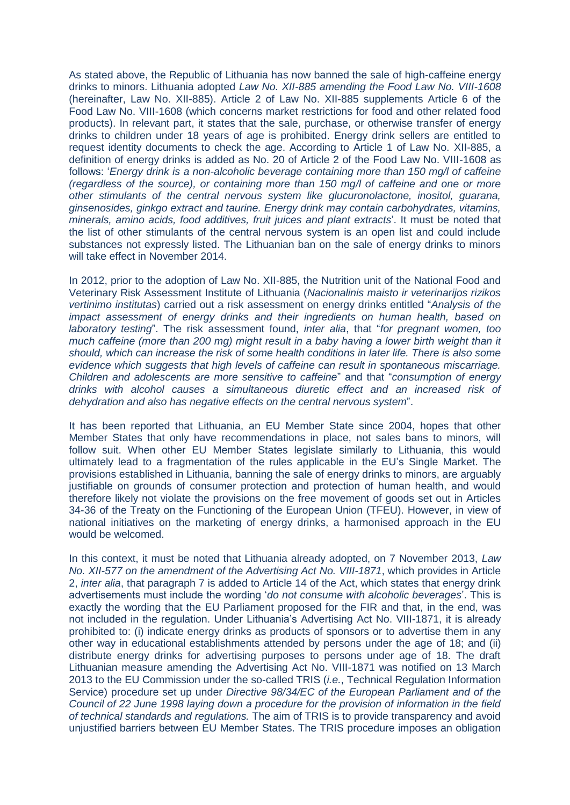As stated above, the Republic of Lithuania has now banned the sale of high-caffeine energy drinks to minors. Lithuania adopted *Law No. XII-885 amending the Food Law No. VIII-1608* (hereinafter, Law No. XII-885). Article 2 of Law No. XII-885 supplements Article 6 of the Food Law No. VIII-1608 (which concerns market restrictions for food and other related food products). In relevant part, it states that the sale, purchase, or otherwise transfer of energy drinks to children under 18 years of age is prohibited. Energy drink sellers are entitled to request identity documents to check the age. According to Article 1 of Law No. XII-885, a definition of energy drinks is added as No. 20 of Article 2 of the Food Law No. VIII-1608 as follows: '*Energy drink is a non-alcoholic beverage containing more than 150 mg/l of caffeine (regardless of the source), or containing more than 150 mg/l of caffeine and one or more other stimulants of the central nervous system like glucuronolactone, inositol, guarana, ginsenosides, ginkgo extract and taurine. Energy drink may contain carbohydrates, vitamins, minerals, amino acids, food additives, fruit juices and plant extracts*'. It must be noted that the list of other stimulants of the central nervous system is an open list and could include substances not expressly listed. The Lithuanian ban on the sale of energy drinks to minors will take effect in November 2014.

In 2012, prior to the adoption of Law No. XII-885, the Nutrition unit of the National Food and Veterinary Risk Assessment Institute of Lithuania (*Nacionalinis maisto ir veterinarijos rizikos vertinimo institutas*) carried out a risk assessment on energy drinks entitled "*Analysis of the impact assessment of energy drinks and their ingredients on human health, based on laboratory testing*". The risk assessment found, *inter alia*, that "*for pregnant women, too much caffeine (more than 200 mg) might result in a baby having a lower birth weight than it should, which can increase the risk of some health conditions in later life. There is also some evidence which suggests that high levels of caffeine can result in spontaneous miscarriage. Children and adolescents are more sensitive to caffeine*" and that "*consumption of energy drinks with alcohol causes a simultaneous diuretic effect and an increased risk of dehydration and also has negative effects on the central nervous system*".

It has been reported that Lithuania, an EU Member State since 2004, hopes that other Member States that only have recommendations in place, not sales bans to minors, will follow suit. When other EU Member States legislate similarly to Lithuania, this would ultimately lead to a fragmentation of the rules applicable in the EU's Single Market. The provisions established in Lithuania, banning the sale of energy drinks to minors, are arguably justifiable on grounds of consumer protection and protection of human health, and would therefore likely not violate the provisions on the free movement of goods set out in Articles 34-36 of the Treaty on the Functioning of the European Union (TFEU). However, in view of national initiatives on the marketing of energy drinks, a harmonised approach in the EU would be welcomed.

In this context, it must be noted that Lithuania already adopted, on 7 November 2013, *Law No. XII-577 on the amendment of the Advertising Act No. VIII-1871*, which provides in Article 2, *inter alia*, that paragraph 7 is added to Article 14 of the Act, which states that energy drink advertisements must include the wording '*do not consume with alcoholic beverages*'. This is exactly the wording that the EU Parliament proposed for the FIR and that, in the end, was not included in the regulation. Under Lithuania's Advertising Act No. VIII-1871, it is already prohibited to: (i) indicate energy drinks as products of sponsors or to advertise them in any other way in educational establishments attended by persons under the age of 18; and (ii) distribute energy drinks for advertising purposes to persons under age of 18. The draft Lithuanian measure amending the Advertising Act No. VIII-1871 was notified on 13 March 2013 to the EU Commission under the so-called TRIS (*i.e.*, Technical Regulation Information Service) procedure set up under *Directive 98/34/EC of the European Parliament and of the Council of 22 June 1998 laying down a procedure for the provision of information in the field of technical standards and regulations.* The aim of TRIS is to provide transparency and avoid unjustified barriers between EU Member States. The TRIS procedure imposes an obligation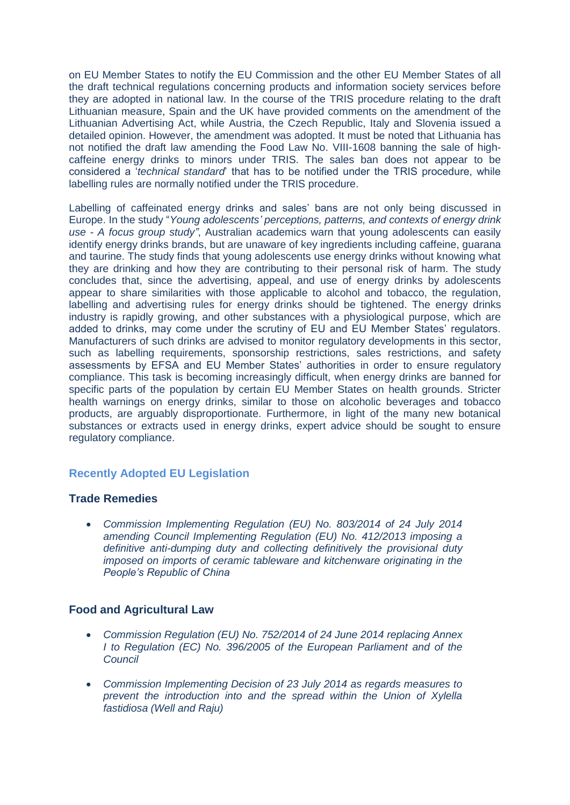on EU Member States to notify the EU Commission and the other EU Member States of all the draft technical regulations concerning products and information society services before they are adopted in national law. In the course of the TRIS procedure relating to the draft Lithuanian measure, Spain and the UK have provided comments on the amendment of the Lithuanian Advertising Act, while Austria, the Czech Republic, Italy and Slovenia issued a detailed opinion. However, the amendment was adopted. It must be noted that Lithuania has not notified the draft law amending the Food Law No. VIII-1608 banning the sale of highcaffeine energy drinks to minors under TRIS. The sales ban does not appear to be considered a '*technical standard*' that has to be notified under the TRIS procedure, while labelling rules are normally notified under the TRIS procedure.

Labelling of caffeinated energy drinks and sales' bans are not only being discussed in Europe. In the study "*Young adolescents' perceptions, patterns, and contexts of energy drink use - A focus group study"*, Australian academics warn that young adolescents can easily identify energy drinks brands, but are unaware of key ingredients including caffeine, guarana and taurine. The study finds that young adolescents use energy drinks without knowing what they are drinking and how they are contributing to their personal risk of harm. The study concludes that, since the advertising, appeal, and use of energy drinks by adolescents appear to share similarities with those applicable to alcohol and tobacco, the regulation, labelling and advertising rules for energy drinks should be tightened. The energy drinks industry is rapidly growing, and other substances with a physiological purpose, which are added to drinks, may come under the scrutiny of EU and EU Member States' regulators. Manufacturers of such drinks are advised to monitor regulatory developments in this sector, such as labelling requirements, sponsorship restrictions, sales restrictions, and safety assessments by EFSA and EU Member States' authorities in order to ensure regulatory compliance. This task is becoming increasingly difficult, when energy drinks are banned for specific parts of the population by certain EU Member States on health grounds. Stricter health warnings on energy drinks, similar to those on alcoholic beverages and tobacco products, are arguably disproportionate. Furthermore, in light of the many new botanical substances or extracts used in energy drinks, expert advice should be sought to ensure regulatory compliance.

# <span id="page-6-0"></span>**Recently Adopted EU Legislation**

## **Trade Remedies**

 *[Commission Implementing Regulation \(EU\) No. 803/2014 of 24 July 2014](http://eur-lex.europa.eu/legal-content/EN/AUTO/?uri=uriserv:OJ.L_.2014.219.01.0033.01.ENG)  [amending Council Implementing Regulation \(EU\) No. 412/2013 imposing a](http://eur-lex.europa.eu/legal-content/EN/AUTO/?uri=uriserv:OJ.L_.2014.219.01.0033.01.ENG)  [definitive anti-dumping duty and collecting definitively the provisional duty](http://eur-lex.europa.eu/legal-content/EN/AUTO/?uri=uriserv:OJ.L_.2014.219.01.0033.01.ENG)  [imposed on imports of ceramic tableware and kitchenware originating in the](http://eur-lex.europa.eu/legal-content/EN/AUTO/?uri=uriserv:OJ.L_.2014.219.01.0033.01.ENG)  [People's Republic of China](http://eur-lex.europa.eu/legal-content/EN/AUTO/?uri=uriserv:OJ.L_.2014.219.01.0033.01.ENG)*

### **Food and Agricultural Law**

- *Commission Regulation (EU) No. [752/2014 of 24 June 2014 replacing Annex](http://eur-lex.europa.eu/legal-content/EN/AUTO/?uri=uriserv:OJ.L_.2014.208.01.0001.01.ENG)  I to Regulation (EC) No. [396/2005 of the European Parliament and of the](http://eur-lex.europa.eu/legal-content/EN/AUTO/?uri=uriserv:OJ.L_.2014.208.01.0001.01.ENG)  [Council](http://eur-lex.europa.eu/legal-content/EN/AUTO/?uri=uriserv:OJ.L_.2014.208.01.0001.01.ENG)*
- *[Commission Implementing Decision of 23 July 2014 as regards measures to](http://eur-lex.europa.eu/legal-content/EN/TXT/?uri=uriserv:OJ.L_.2014.219.01.0056.01.ENG)  [prevent the introduction into and the spread within the Union of Xylella](http://eur-lex.europa.eu/legal-content/EN/TXT/?uri=uriserv:OJ.L_.2014.219.01.0056.01.ENG)  [fastidiosa \(Well and Raju\)](http://eur-lex.europa.eu/legal-content/EN/TXT/?uri=uriserv:OJ.L_.2014.219.01.0056.01.ENG)*